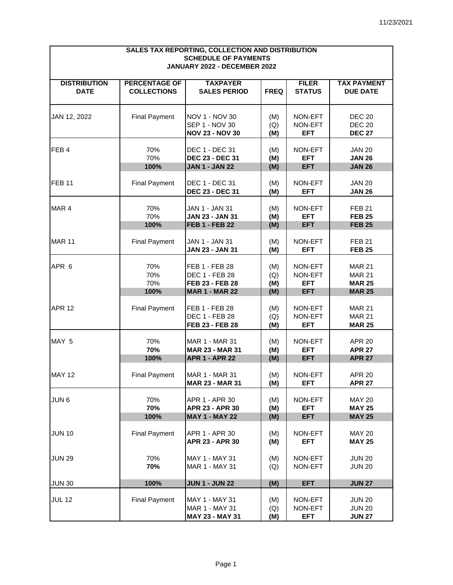| SALES TAX REPORTING, COLLECTION AND DISTRIBUTION            |                      |                                                 |             |                       |                                |  |  |  |
|-------------------------------------------------------------|----------------------|-------------------------------------------------|-------------|-----------------------|--------------------------------|--|--|--|
| <b>SCHEDULE OF PAYMENTS</b><br>JANUARY 2022 - DECEMBER 2022 |                      |                                                 |             |                       |                                |  |  |  |
|                                                             |                      |                                                 |             |                       |                                |  |  |  |
| <b>DISTRIBUTION</b>                                         | <b>PERCENTAGE OF</b> | <b>TAXPAYER</b>                                 |             | <b>FILER</b>          | <b>TAX PAYMENT</b>             |  |  |  |
| <b>DATE</b>                                                 | <b>COLLECTIONS</b>   | <b>SALES PERIOD</b>                             | <b>FREQ</b> | <b>STATUS</b>         | <b>DUE DATE</b>                |  |  |  |
|                                                             |                      |                                                 |             |                       |                                |  |  |  |
| JAN 12, 2022                                                | <b>Final Payment</b> | NOV 1 - NOV 30<br>SEP 1 - NOV 30                | (M)         | NON-EFT<br>NON-EFT    | <b>DEC 20</b><br><b>DEC 20</b> |  |  |  |
|                                                             |                      | <b>NOV 23 - NOV 30</b>                          | (Q)<br>(M)  | <b>EFT</b>            | <b>DEC 27</b>                  |  |  |  |
| FEB4                                                        |                      |                                                 |             |                       |                                |  |  |  |
|                                                             | 70%<br>70%           | DEC 1 - DEC 31<br><b>DEC 23 - DEC 31</b>        | (M)<br>(M)  | NON-EFT<br><b>EFT</b> | <b>JAN 20</b><br><b>JAN 26</b> |  |  |  |
|                                                             | 100%                 | <b>JAN 1 - JAN 22</b>                           | (M)         | <b>EFT</b>            | <b>JAN 26</b>                  |  |  |  |
|                                                             |                      |                                                 |             |                       |                                |  |  |  |
| <b>FEB 11</b>                                               | <b>Final Payment</b> | DEC 1 - DEC 31                                  | (M)         | NON-EFT               | <b>JAN 20</b>                  |  |  |  |
|                                                             |                      | DEC 23 - DEC 31                                 | (M)         | <b>EFT</b>            | <b>JAN 26</b>                  |  |  |  |
| MAR <sub>4</sub>                                            | 70%                  | JAN 1 - JAN 31                                  | (M)         | NON-EFT               | <b>FEB 21</b>                  |  |  |  |
|                                                             | 70%                  | <b>JAN 23 - JAN 31</b>                          | (M)         | <b>EFT</b>            | <b>FEB 25</b>                  |  |  |  |
|                                                             | 100%                 | <b>FEB 1 - FEB 22</b>                           | (M)         | <b>EFT</b>            | <b>FEB 25</b>                  |  |  |  |
| <b>MAR 11</b>                                               |                      |                                                 |             |                       |                                |  |  |  |
|                                                             | <b>Final Payment</b> | JAN 1 - JAN 31<br><b>JAN 23 - JAN 31</b>        | (M)<br>(M)  | NON-EFT<br><b>EFT</b> | <b>FEB 21</b><br><b>FEB 25</b> |  |  |  |
|                                                             |                      |                                                 |             |                       |                                |  |  |  |
| APR 6                                                       | 70%                  | FEB 1 - FEB 28                                  | (M)         | NON-EFT               | <b>MAR 21</b>                  |  |  |  |
|                                                             | 70%                  | <b>DEC 1 - FEB 28</b>                           | (Q)         | NON-EFT               | <b>MAR 21</b>                  |  |  |  |
|                                                             | 70%                  | FEB 23 - FEB 28                                 | (M)         | <b>EFT</b>            | <b>MAR 25</b>                  |  |  |  |
|                                                             | 100%                 | <b>MAR 1 - MAR 22</b>                           | (M)         | <b>EFT</b>            | <b>MAR 25</b>                  |  |  |  |
| <b>APR 12</b>                                               | <b>Final Payment</b> | FEB 1 - FEB 28                                  | (M)         | NON-EFT               | <b>MAR 21</b>                  |  |  |  |
|                                                             |                      | <b>DEC 1 - FEB 28</b>                           | (Q)         | NON-EFT               | <b>MAR 21</b>                  |  |  |  |
|                                                             |                      | FEB 23 - FEB 28                                 | (M)         | <b>EFT</b>            | <b>MAR 25</b>                  |  |  |  |
|                                                             | 70%                  | MAR 1 - MAR 31                                  |             | NON-EFT               | <b>APR 20</b>                  |  |  |  |
| MAY 5                                                       | 70%                  | <b>MAR 23 - MAR 31</b>                          | (M)<br>(M)  | <b>EFT</b>            | <b>APR 27</b>                  |  |  |  |
|                                                             | 100%                 | <b>APR 1 - APR 22</b>                           | (M)         | <b>EFT</b>            | <b>APR 27</b>                  |  |  |  |
|                                                             |                      |                                                 |             |                       |                                |  |  |  |
| <b>MAY 12</b>                                               | <b>Final Payment</b> | <b>MAR 1 - MAR 31</b><br><b>MAR 23 - MAR 31</b> | (M)<br>(M)  | NON-EFT<br><b>EFT</b> | <b>APR 20</b><br><b>APR 27</b> |  |  |  |
|                                                             |                      |                                                 |             |                       |                                |  |  |  |
| JUN <sub>6</sub>                                            | 70%                  | APR 1 - APR 30                                  | (M)         | NON-EFT               | <b>MAY 20</b>                  |  |  |  |
|                                                             | 70%                  | APR 23 - APR 30                                 | (M)         | <b>EFT</b>            | <b>MAY 25</b>                  |  |  |  |
|                                                             | 100%                 | <b>MAY 1 - MAY 22</b>                           | (M)         | <b>EFT</b>            | <b>MAY 25</b>                  |  |  |  |
| <b>JUN 10</b>                                               | <b>Final Payment</b> | APR 1 - APR 30                                  | (M)         | NON-EFT               | <b>MAY 20</b>                  |  |  |  |
|                                                             |                      | APR 23 - APR 30                                 | (M)         | <b>EFT</b>            | <b>MAY 25</b>                  |  |  |  |
|                                                             |                      |                                                 |             |                       |                                |  |  |  |
| <b>JUN 29</b>                                               | 70%                  | MAY 1 - MAY 31                                  | (M)         | NON-EFT               | <b>JUN 20</b>                  |  |  |  |
|                                                             | 70%                  | <b>MAR 1 - MAY 31</b>                           | (Q)         | NON-EFT               | <b>JUN 20</b>                  |  |  |  |
| <b>JUN 30</b>                                               | 100%                 | <b>JUN 1 - JUN 22</b>                           | (M)         | <b>EFT</b>            | <b>JUN 27</b>                  |  |  |  |
|                                                             |                      |                                                 |             |                       |                                |  |  |  |
| <b>JUL 12</b>                                               | <b>Final Payment</b> | MAY 1 - MAY 31                                  | (M)         | NON-EFT               | <b>JUN 20</b>                  |  |  |  |
|                                                             |                      | MAR 1 - MAY 31<br>MAY 23 - MAY 31               | (Q)<br>(M)  | NON-EFT<br><b>EFT</b> | <b>JUN 20</b><br><b>JUN 27</b> |  |  |  |
|                                                             |                      |                                                 |             |                       |                                |  |  |  |